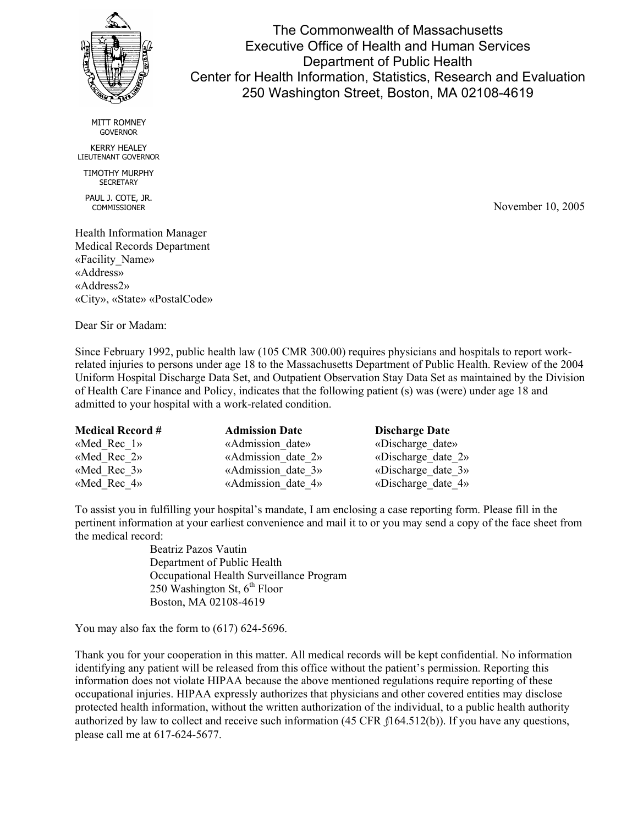

The Commonwealth of Massachusetts Executive Office of Health and Human Services Department of Public Health Center for Health Information, Statistics, Research and Evaluation 250 Washington Street, Boston, MA 02108-4619

MITT ROMNEY GOVERNOR

KERRY HEALEY LIEUTENANT GOVERNOR

TIMOTHY MURPHY **SECRETARY** 

PAUL J. COTE, JR. COMMISSIONER

Health Information Manager Medical Records Department «Facility\_Name» «Address» «Address2» «City», «State» «PostalCode»

Dear Sir or Madam:

Since February 1992, public health law (105 CMR 300.00) requires physicians and hospitals to report workrelated injuries to persons under age 18 to the Massachusetts Department of Public Health. Review of the 2004 Uniform Hospital Discharge Data Set, and Outpatient Observation Stay Data Set as maintained by the Division of Health Care Finance and Policy, indicates that the following patient (s) was (were) under age 18 and admitted to your hospital with a work-related condition.

| <b>Medical Record #</b> | <b>Admission Date</b> | <b>Discharge Date</b> |
|-------------------------|-----------------------|-----------------------|
| «Med Rec $1$ »          | «Admission date»      | «Discharge date»      |
| «Med Rec $2$ »          | «Admission date 2»    | «Discharge date $2$ » |
| «Med Rec $39$           | «Admission date 3»    | «Discharge date $3\%$ |
| «Med Rec $4$ »          | «Admission date 4»    | «Discharge date $4$ » |

To assist you in fulfilling your hospital's mandate, I am enclosing a case reporting form. Please fill in the pertinent information at your earliest convenience and mail it to or you may send a copy of the face sheet from the medical record:

> Beatriz Pazos Vautin Department of Public Health Occupational Health Surveillance Program 250 Washington St,  $6^{th}$  Floor Boston, MA 02108-4619

You may also fax the form to (617) 624-5696.

Thank you for your cooperation in this matter. All medical records will be kept confidential. No information identifying any patient will be released from this office without the patient's permission. Reporting this information does not violate HIPAA because the above mentioned regulations require reporting of these occupational injuries. HIPAA expressly authorizes that physicians and other covered entities may disclose protected health information, without the written authorization of the individual, to a public health authority authorized by law to collect and receive such information (45 CFR *§*164.512(b)). If you have any questions, please call me at 617-624-5677.

November 10, 2005